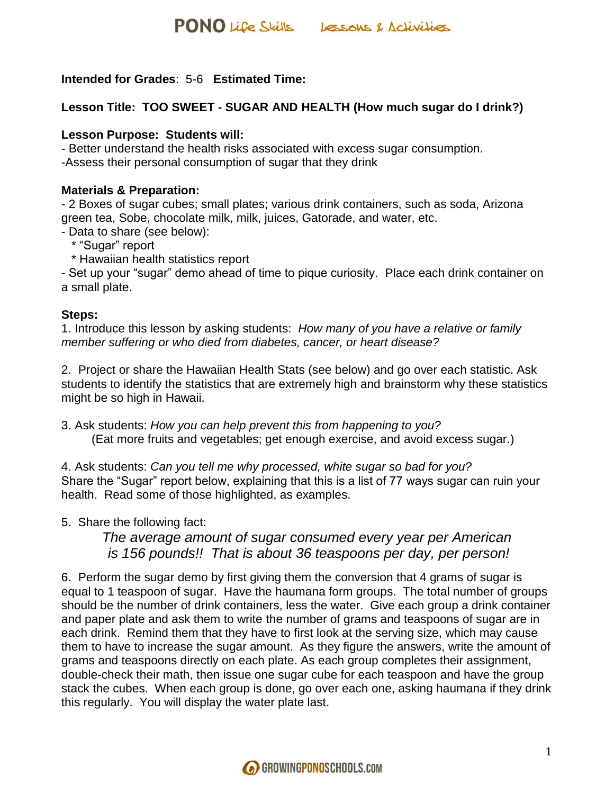#### **Intended for Grades**: 5-6 **Estimated Time:**

#### **Lesson Title: TOO SWEET - SUGAR AND HEALTH (How much sugar do I drink?)**

#### **Lesson Purpose: Students will:**

- Better understand the health risks associated with excess sugar consumption.

-Assess their personal consumption of sugar that they drink

#### **Materials & Preparation:**

- 2 Boxes of sugar cubes; small plates; various drink containers, such as soda, Arizona green tea, Sobe, chocolate milk, milk, juices, Gatorade, and water, etc.

- Data to share (see below):

- \* "Sugar" report
- \* Hawaiian health statistics report

- Set up your "sugar" demo ahead of time to pique curiosity. Place each drink container on a small plate.

#### **Steps:**

1. Introduce this lesson by asking students: *How many of you have a relative or family member suffering or who died from diabetes, cancer, or heart disease?* 

2. Project or share the Hawaiian Health Stats (see below) and go over each statistic. Ask students to identify the statistics that are extremely high and brainstorm why these statistics might be so high in Hawaii.

3. Ask students: *How you can help prevent this from happening to you?* (Eat more fruits and vegetables; get enough exercise, and avoid excess sugar.)

4. Ask students: *Can you tell me why processed, white sugar so bad for you?* Share the "Sugar" report below, explaining that this is a list of 77 ways sugar can ruin your health. Read some of those highlighted, as examples.

5. Share the following fact:

*The average amount of sugar consumed every year per American is 156 pounds!! That is about 36 teaspoons per day, per person!*

6. Perform the sugar demo by first giving them the conversion that 4 grams of sugar is equal to 1 teaspoon of sugar. Have the haumana form groups. The total number of groups should be the number of drink containers, less the water. Give each group a drink container and paper plate and ask them to write the number of grams and teaspoons of sugar are in each drink. Remind them that they have to first look at the serving size, which may cause them to have to increase the sugar amount. As they figure the answers, write the amount of grams and teaspoons directly on each plate. As each group completes their assignment, double-check their math, then issue one sugar cube for each teaspoon and have the group stack the cubes. When each group is done, go over each one, asking haumana if they drink this regularly. You will display the water plate last.

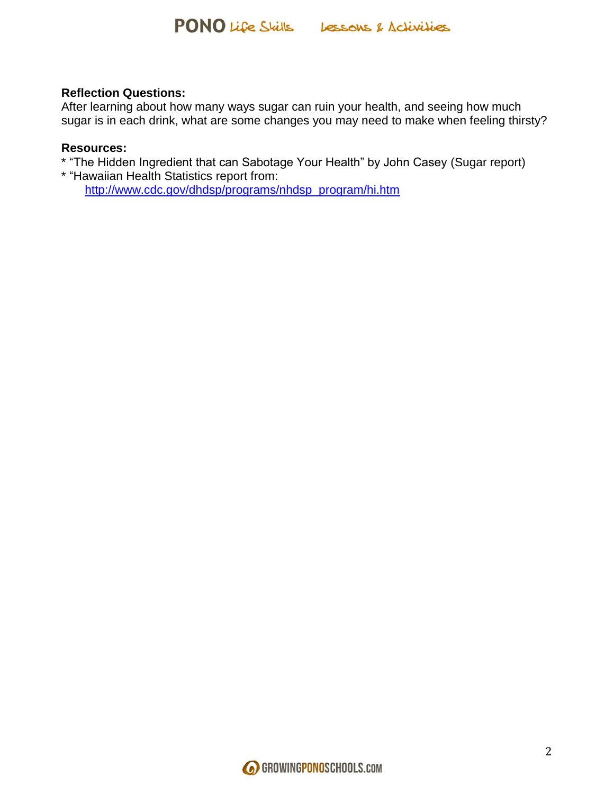#### **Reflection Questions:**

After learning about how many ways sugar can ruin your health, and seeing how much sugar is in each drink, what are some changes you may need to make when feeling thirsty?

#### **Resources:**

\* "The Hidden Ingredient that can Sabotage Your Health" by John Casey (Sugar report)

\* "Hawaiian Health Statistics report from: [http://www.cdc.gov/dhdsp/programs/nhdsp\\_program/hi.htm](http://www.cdc.gov/dhdsp/programs/nhdsp_program/hi.htm)

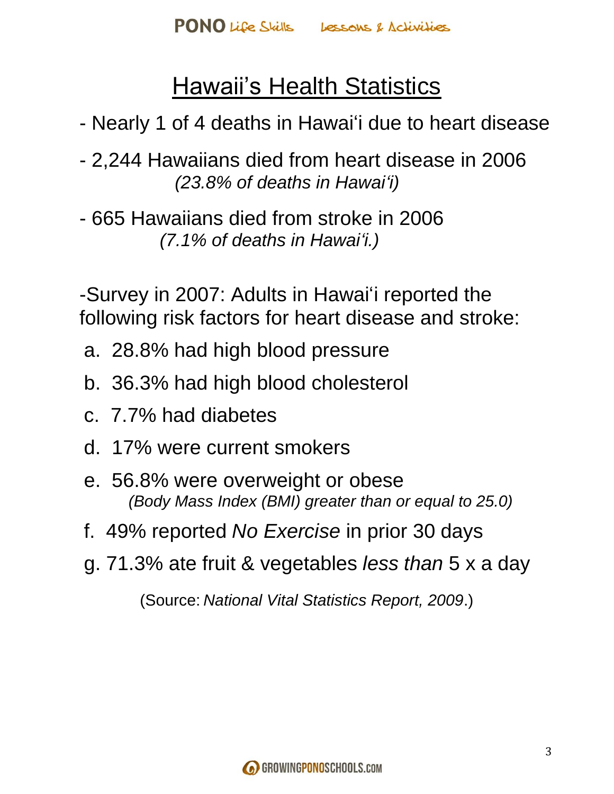# Hawaii's Health Statistics

- Nearly 1 of 4 deaths in Hawai'i due to heart disease
- 2,244 Hawaiians died from heart disease in 2006  *(23.8% of deaths in Hawai'i)*
- 665 Hawaiians died from stroke in 2006  *(7.1% of deaths in Hawai'i.)*

-Survey in 2007: Adults in Hawai'i reported the following risk factors for heart disease and stroke:

- a. 28.8% had high blood pressure
- b. 36.3% had high blood cholesterol
- c. 7.7% had diabetes
- d. 17% were current smokers
- e. 56.8% were overweight or obese  *(Body Mass Index (BMI) greater than or equal to 25.0)*
- f. 49% reported *No Exercise* in prior 30 days
- g. 71.3% ate fruit & vegetables *less than* 5 x a day

(Source: *National Vital Statistics Report, 2009*.)

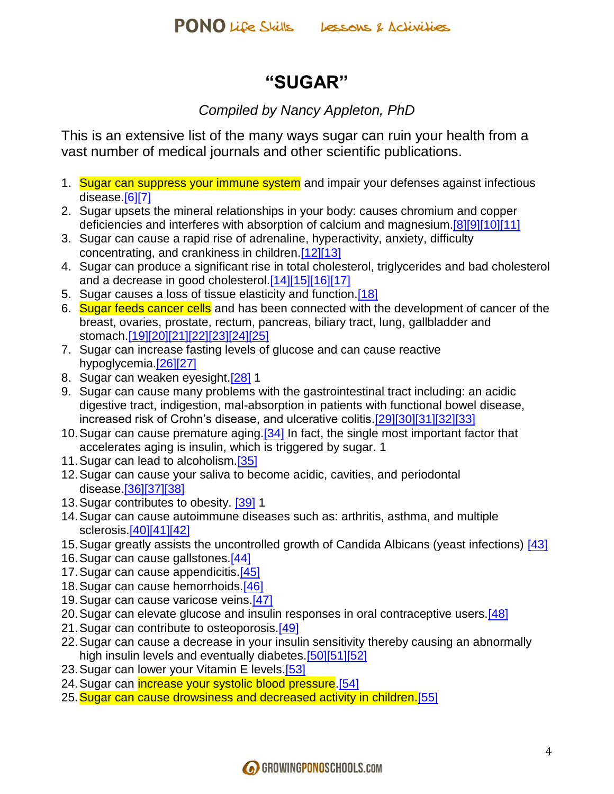## **"SUGAR"**

### *Compiled by Nancy Appleton, PhD*

This is an extensive list of the many ways sugar can ruin your health from a vast number of medical journals and other scientific publications.

- 1. Sugar can suppress your immune system and impair your defenses against infectious disease[.\[6\]\[7\]](http://articles.mercola.com/sites/articles/archive/2010/04/20/sugar-dangers.aspx?np=true#_edn6)
- 2. Sugar upsets the mineral relationships in your body: causes chromium and copper deficiencies and interferes with absorption of calcium and magnesium[.\[8\]\[9\]](http://articles.mercola.com/sites/articles/archive/2010/04/20/sugar-dangers.aspx?np=true#_edn8)[\[10\]\[11\]](http://articles.mercola.com/sites/articles/archive/2010/04/20/sugar-dangers.aspx?np=true#_edn10)
- 3. Sugar can cause a rapid rise of adrenaline, hyperactivity, anxiety, difficulty concentrating, and crankiness in children[.\[12\]\[13\]](http://articles.mercola.com/sites/articles/archive/2010/04/20/sugar-dangers.aspx?np=true#_edn12)
- 4. Sugar can produce a significant rise in total cholesterol, triglycerides and bad cholesterol and a decrease in good cholesterol[.\[14\]\[15\]](http://articles.mercola.com/sites/articles/archive/2010/04/20/sugar-dangers.aspx?np=true#_edn14)[\[16\]\[17\]](http://articles.mercola.com/sites/articles/archive/2010/04/20/sugar-dangers.aspx?np=true#_edn16)
- 5. Sugar causes a loss of tissue elasticity and function.<sup>[18]</sup>
- 6. Sugar feeds cancer cells and has been connected with the development of cancer of the breast, ovaries, prostate, rectum, pancreas, biliary tract, lung, gallbladder and stomach[.\[19\]\[20\]](http://articles.mercola.com/sites/articles/archive/2010/04/20/sugar-dangers.aspx?np=true#_edn19)[\[21\]\[22\]](http://articles.mercola.com/sites/articles/archive/2010/04/20/sugar-dangers.aspx?np=true#_edn21)[\[23\]\[24\]](http://articles.mercola.com/sites/articles/archive/2010/04/20/sugar-dangers.aspx?np=true#_edn23)[\[25\]](http://articles.mercola.com/sites/articles/archive/2010/04/20/sugar-dangers.aspx?np=true#_edn25)
- 7. Sugar can increase fasting levels of glucose and can cause reactive hypoglycemia[.\[26\]\[27\]](http://articles.mercola.com/sites/articles/archive/2010/04/20/sugar-dangers.aspx?np=true#_edn26)
- 8. Sugar can weaken eyesight.<sup>[28]</sup> 1
- 9. Sugar can cause many problems with the gastrointestinal tract including: an acidic digestive tract, indigestion, mal-absorption in patients with functional bowel disease, increased risk of Crohn's disease, and ulcerative colitis[.\[29\]\[30\]](http://articles.mercola.com/sites/articles/archive/2010/04/20/sugar-dangers.aspx?np=true#_edn29)[\[31\]\[32\]](http://articles.mercola.com/sites/articles/archive/2010/04/20/sugar-dangers.aspx?np=true#_edn31)[\[33\]](http://articles.mercola.com/sites/articles/archive/2010/04/20/sugar-dangers.aspx?np=true#_edn33)
- 10.Sugar can cause premature aging[.\[34\]](http://articles.mercola.com/sites/articles/archive/2010/04/20/sugar-dangers.aspx?np=true#_edn34) In fact, the single most important factor that accelerates aging is insulin, which is triggered by sugar. 1
- 11. Sugar can lead to alcoholism.<sup>[35]</sup>
- 12.Sugar can cause your saliva to become acidic, cavities, and periodontal disease[.\[36\]\[37\]](http://articles.mercola.com/sites/articles/archive/2010/04/20/sugar-dangers.aspx?np=true#_edn36)[\[38\]](http://articles.mercola.com/sites/articles/archive/2010/04/20/sugar-dangers.aspx?np=true#_edn38)
- 13. Sugar contributes to obesity. [\[39\]](http://articles.mercola.com/sites/articles/archive/2010/04/20/sugar-dangers.aspx?np=true#_edn39) 1
- 14.Sugar can cause autoimmune diseases such as: arthritis, asthma, and multiple sclerosis[.\[40\]\[41\]](http://articles.mercola.com/sites/articles/archive/2010/04/20/sugar-dangers.aspx?np=true#_edn40)[\[42\]](http://articles.mercola.com/sites/articles/archive/2010/04/20/sugar-dangers.aspx?np=true#_edn42)
- 15.Sugar greatly assists the uncontrolled growth of Candida Albicans (yeast infections) [\[43\]](http://articles.mercola.com/sites/articles/archive/2010/04/20/sugar-dangers.aspx?np=true#_edn43)
- 16.Sugar can cause gallstones[.\[44\]](http://articles.mercola.com/sites/articles/archive/2010/04/20/sugar-dangers.aspx?np=true#_edn44)
- 17. Sugar can cause appendicitis.<sup>[45]</sup>
- 18.Sugar can cause hemorrhoids[.\[46\]](http://articles.mercola.com/sites/articles/archive/2010/04/20/sugar-dangers.aspx?np=true#_edn46)
- 19.Sugar can cause varicose veins[.\[47\]](http://articles.mercola.com/sites/articles/archive/2010/04/20/sugar-dangers.aspx?np=true#_edn47)
- 20. Sugar can elevate glucose and insulin responses in oral contraceptive users [48]
- 21. Sugar can contribute to osteoporosis.<sup>[49]</sup>
- 22.Sugar can cause a decrease in your insulin sensitivity thereby causing an abnormally high insulin levels and eventually diabetes. [50][51][\[52\]](http://articles.mercola.com/sites/articles/archive/2010/04/20/sugar-dangers.aspx?np=true#_edn52)
- 23. Sugar can lower your Vitamin E levels.<sup>[53]</sup>
- 24. Sugar can increase your systolic blood pressure. [54]
- 25. Sugar can cause drowsiness and decreased activity in children. [55]

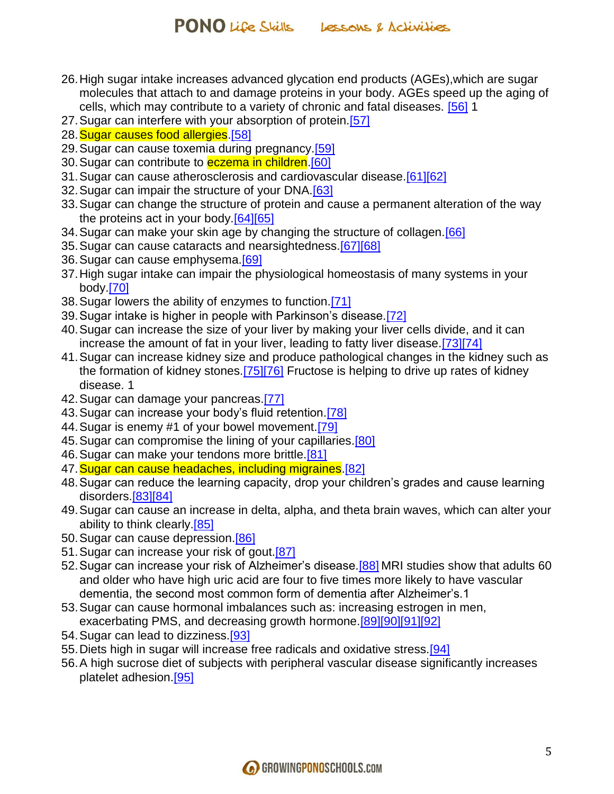- 26.High sugar intake increases advanced glycation end products (AGEs),which are sugar molecules that attach to and damage proteins in your body. AGEs speed up the aging of cells, which may contribute to a variety of chronic and fatal diseases. [\[56\]](http://articles.mercola.com/sites/articles/archive/2010/04/20/sugar-dangers.aspx?np=true#_edn56) 1
- 27. Sugar can interfere with your absorption of protein.<sup>[57]</sup>
- 28. Sugar causes food allergies. [58]
- 29. Sugar can cause toxemia during pregnancy.<sup>[59]</sup>
- 30. Sugar can contribute to **eczema in children**.<sup>[60]</sup>
- 31.Sugar can cause atherosclerosis and cardiovascular disease[.\[61\]\[62\]](http://articles.mercola.com/sites/articles/archive/2010/04/20/sugar-dangers.aspx?np=true#_edn61)
- 32.Sugar can impair the structure of your DNA[.\[63\]](http://articles.mercola.com/sites/articles/archive/2010/04/20/sugar-dangers.aspx?np=true#_edn63)
- 33.Sugar can change the structure of protein and cause a permanent alteration of the way the proteins act in your body[.\[64\]\[65\]](http://articles.mercola.com/sites/articles/archive/2010/04/20/sugar-dangers.aspx?np=true#_edn64)
- 34. Sugar can make your skin age by changing the structure of collagen. [66]
- 35.Sugar can cause cataracts and nearsightedness[.\[67\]\[68\]](http://articles.mercola.com/sites/articles/archive/2010/04/20/sugar-dangers.aspx?np=true#_edn67)
- 36.Sugar can cause emphysema[.\[69\]](http://articles.mercola.com/sites/articles/archive/2010/04/20/sugar-dangers.aspx?np=true#_edn69)
- 37.High sugar intake can impair the physiological homeostasis of many systems in your body[.\[70\]](http://articles.mercola.com/sites/articles/archive/2010/04/20/sugar-dangers.aspx?np=true#_edn70)
- 38.Sugar lowers the ability of enzymes to function[.\[71\]](http://articles.mercola.com/sites/articles/archive/2010/04/20/sugar-dangers.aspx?np=true#_edn71)
- 39.Sugar intake is higher in people with Parkinson's disease[.\[72\]](http://articles.mercola.com/sites/articles/archive/2010/04/20/sugar-dangers.aspx?np=true#_edn72)
- 40.Sugar can increase the size of your liver by making your liver cells divide, and it can increase the amount of fat in your liver, leading to fatty liver disease[.\[73\]\[74\]](http://articles.mercola.com/sites/articles/archive/2010/04/20/sugar-dangers.aspx?np=true#_edn73)
- 41.Sugar can increase kidney size and produce pathological changes in the kidney such as the formation of kidney stones[.\[75\]\[76\]](http://articles.mercola.com/sites/articles/archive/2010/04/20/sugar-dangers.aspx?np=true#_edn75) Fructose is helping to drive up rates of kidney disease. 1
- 42. Sugar can damage your pancreas[.\[77\]](http://articles.mercola.com/sites/articles/archive/2010/04/20/sugar-dangers.aspx?np=true#_edn77)
- 43.Sugar can increase your body's fluid retention[.\[78\]](http://articles.mercola.com/sites/articles/archive/2010/04/20/sugar-dangers.aspx?np=true#_edn78)
- 44.Sugar is enemy #1 of your bowel movement[.\[79\]](http://articles.mercola.com/sites/articles/archive/2010/04/20/sugar-dangers.aspx?np=true#_edn79)
- 45. Sugar can compromise the lining of your capillaries.<sup>[80]</sup>
- 46. Sugar can make your tendons more brittle.<sup>[81]</sup>
- 47. Sugar can cause headaches, including migraines. [82]
- 48.Sugar can reduce the learning capacity, drop your children's grades and cause learning disorders[.\[83\]\[84\]](http://articles.mercola.com/sites/articles/archive/2010/04/20/sugar-dangers.aspx?np=true#_edn83)
- 49.Sugar can cause an increase in delta, alpha, and theta brain waves, which can alter your ability to think clearly.<sup>[85]</sup>
- 50. Sugar can cause depression.<sup>[86]</sup>
- 51.Sugar can increase your risk of gout[.\[87\]](http://articles.mercola.com/sites/articles/archive/2010/04/20/sugar-dangers.aspx?np=true#_edn87)
- 52. Sugar can increase your risk of Alzheimer's disease. [88] MRI studies show that adults 60 and older who have high uric acid are four to five times more likely to have vascular dementia, the second most common form of dementia after Alzheimer's.1
- 53.Sugar can cause hormonal imbalances such as: increasing estrogen in men, exacerbating PMS, and decreasing growth hormone.<sup>[89][90][\[91\]\[92\]](http://articles.mercola.com/sites/articles/archive/2010/04/20/sugar-dangers.aspx?np=true#_edn91)</sup>
- 54.Sugar can lead to dizziness[.\[93\]](http://articles.mercola.com/sites/articles/archive/2010/04/20/sugar-dangers.aspx?np=true#_edn93)
- 55.Diets high in sugar will increase free radicals and oxidative stress[.\[94\]](http://articles.mercola.com/sites/articles/archive/2010/04/20/sugar-dangers.aspx?np=true#_edn94)
- 56.A high sucrose diet of subjects with peripheral vascular disease significantly increases platelet adhesion[.\[95\]](http://articles.mercola.com/sites/articles/archive/2010/04/20/sugar-dangers.aspx?np=true#_edn95)